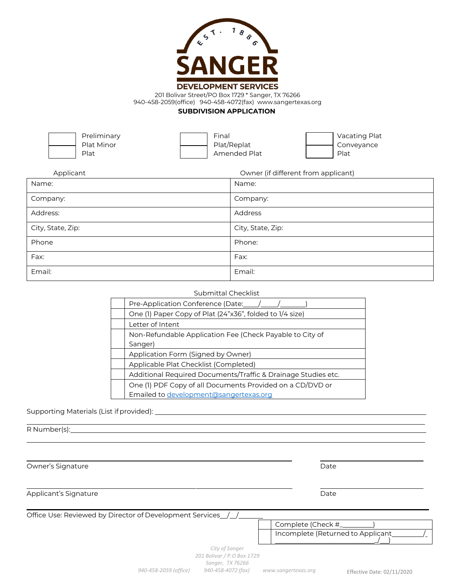

201 Bolivar Street/PO Box 1729 \* Sanger, TX 76266

940-458-2059(office) 940-458-4072(fax) www.sangertexas.org

#### **SUBDIVISION APPLICATION**

Preliminary Plat Minor Plat

Final Plat/Replat Amended Plat Vacating Plat Conveyance Plat

| Applicant         | Owner (if different from applicant) |
|-------------------|-------------------------------------|
| Name:             | Name:                               |
| Company:          | Company:                            |
| Address:          | Address                             |
| City, State, Zip: | City, State, Zip:                   |
| Phone             | Phone:                              |
| Fax:              | Fax:                                |
| Email:            | Email:                              |

|  | Submittal Checklist |  |
|--|---------------------|--|
|  |                     |  |

| Pre-Application Conference (Date:                             |
|---------------------------------------------------------------|
| One (1) Paper Copy of Plat (24"x36", folded to 1/4 size)      |
| Letter of Intent                                              |
| Non-Refundable Application Fee (Check Payable to City of      |
| Sanger)                                                       |
| Application Form (Signed by Owner)                            |
| Applicable Plat Checklist (Completed)                         |
| Additional Required Documents/Traffic & Drainage Studies etc. |
| One (1) PDF Copy of all Documents Provided on a CD/DVD or     |
| Emailed to development@sangertexas.org                        |

#### Supporting Materials (List ifprovided):

R Number(s):

*City of Sanger 201 Bolivar / P.O Box 1729 Sanger, TX 76266 940-458-2059 (office) 940-458-4072 (fax) [www.sangertexas.org](http://www.sangertexas.org/)* Effective Date: 02/11/2020 Owner's Signature Date Date of the Date of the Date Date of the Date Date of the Date of the Date of the Date o Applicant's Signature Date Office Use: Reviewed by Director of Development Services\_/\_/ Complete (Check #\_ ) Incomplete (Returned to Applicant  $\sqrt{\phantom{a}}$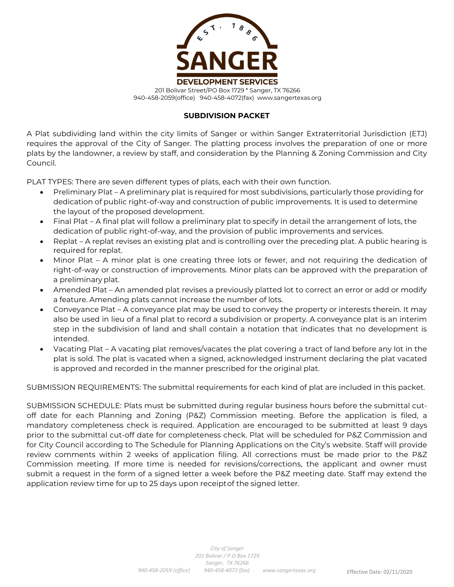

## **SUBDIVISION PACKET**

A Plat subdividing land within the city limits of Sanger or within Sanger Extraterritorial Jurisdiction (ETJ) requires the approval of the City of Sanger. The platting process involves the preparation of one or more plats by the landowner, a review by staff, and consideration by the Planning & Zoning Commission and City Council.

PLAT TYPES: There are seven different types of plats, each with their own function.

- Preliminary Plat A preliminary plat is required for most subdivisions, particularly those providing for dedication of public right-of-way and construction of public improvements. It is used to determine the layout of the proposed development.
- Final Plat A final plat will follow a preliminary plat to specify in detail the arrangement of lots, the dedication of public right-of-way, and the provision of public improvements and services.
- Replat A replat revises an existing plat and is controlling over the preceding plat. A public hearing is required for replat.
- Minor Plat A minor plat is one creating three lots or fewer, and not requiring the dedication of right-of-way or construction of improvements. Minor plats can be approved with the preparation of a preliminary plat.
- Amended Plat An amended plat revises a previously platted lot to correct an error or add or modify a feature. Amending plats cannot increase the number of lots.
- Conveyance Plat A conveyance plat may be used to convey the property or interests therein. It may also be used in lieu of a final plat to record a subdivision or property. A conveyance plat is an interim step in the subdivision of land and shall contain a notation that indicates that no development is intended.
- Vacating Plat A vacating plat removes/vacates the plat covering a tract of land before any lot in the plat is sold. The plat is vacated when a signed, acknowledged instrument declaring the plat vacated is approved and recorded in the manner prescribed for the original plat.

SUBMISSION REQUIREMENTS: The submittal requirements for each kind of plat are included in this packet.

SUBMISSION SCHEDULE: Plats must be submitted during regular business hours before the submittal cutoff date for each Planning and Zoning (P&Z) Commission meeting. Before the application is filed, a mandatory completeness check is required. Application are encouraged to be submitted at least 9 days prior to the submittal cut-off date for completeness check. Plat will be scheduled for P&Z Commission and for City Council according to The Schedule for Planning Applications on the City's website. Staff will provide review comments within 2 weeks of application filing. All corrections must be made prior to the P&Z Commission meeting. If more time is needed for revisions/corrections, the applicant and owner must submit a request in the form of a signed letter a week before the P&Z meeting date. Staff may extend the application review time for up to 25 days upon receiptof the signed letter.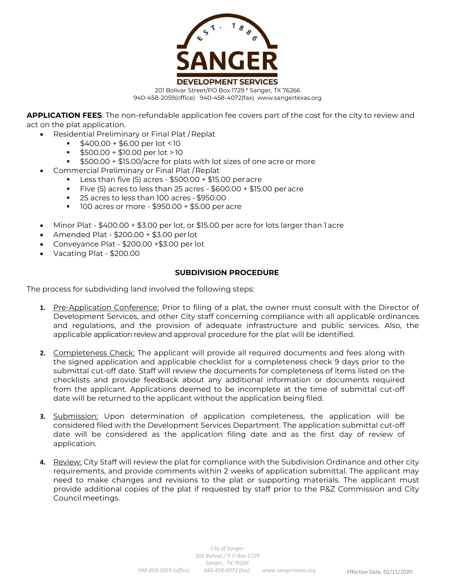

**APPLICATION FEES**: The non-refundable application fee covers part of the cost for the city to review and act on the plat application.

- Residential Preliminary or Final Plat /Replat
	- \$400.00 + \$6.00 per lot < 10
		- \$500.00 + \$10.00 per lot > 10
	- \$500.00 + \$15.00/acre for plats with lot sizes of one acre or more
- Commercial Preliminary or Final Plat /Replat
	- Less than five  $(5)$  acres \$500.00 + \$15.00 per acre
	- Five (5) acres to less than 25 acres \$600.00 + \$15.00 peracre
	- 25 acres to less than 100 acres \$950.00
	- $100$  acres or more \$950.00 + \$5.00 per acre
- Minor Plat \$400.00 + \$3.00 per lot, or \$15.00 per acre for lots larger than 1 acre
- Amended Plat \$200.00 + \$3.00 per lot
- Conveyance Plat \$200.00 +\$3.00 per lot
- Vacating Plat \$200.00

#### **SUBDIVISION PROCEDURE**

The process for subdividing land involved the following steps:

- **1.** Pre-Application Conference: Prior to filing of a plat, the owner must consult with the Director of Development Services, and other City staff concerning compliance with all applicable ordinances and regulations, and the provision of adequate infrastructure and public services. Also, the applicable application review and approval procedure for the plat will be identified.
- **2.** Completeness Check: The applicant will provide all required documents and fees along with the signed application and applicable checklist for a completeness check 9 days prior to the submittal cut-off date. Staff will review the documents for completeness of items listed on the checklists and provide feedback about any additional information or documents required from the applicant. Applications deemed to be incomplete at the time of submittal cut-off date will be returned to the applicant without the application being filed.
- **3.** Submission: Upon determination of application completeness, the application will be considered filed with the Development Services Department. The application submittal cut-off date will be considered as the application filing date and as the first day of review of application.
- **4.** Review: City Staff will review the plat for compliance with the Subdivision Ordinance and other city requirements, and provide comments within 2 weeks of application submittal. The applicant may need to make changes and revisions to the plat or supporting materials. The applicant must provide additional copies of the plat if requested by staff prior to the P&Z Commission and City Council meetings.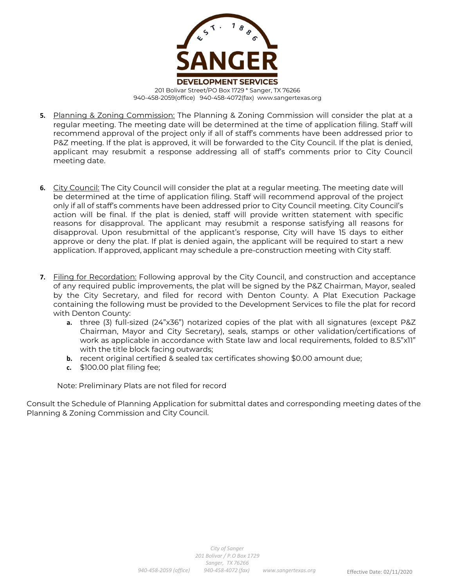

- **5.** Planning & Zoning Commission: The Planning & Zoning Commission will consider the plat at a regular meeting. The meeting date will be determined at the time of application filing. Staff will recommend approval of the project only if all of staff's comments have been addressed prior to P&Z meeting. If the plat is approved, it will be forwarded to the City Council. If the plat is denied, applicant may resubmit a response addressing all of staff's comments prior to City Council meeting date.
- **6.** City Council: The City Council will consider the plat at a regular meeting. The meeting date will be determined at the time of application filing. Staff will recommend approval of the project only if all of staff's comments have been addressed prior to City Council meeting. City Council's action will be final. If the plat is denied, staff will provide written statement with specific reasons for disapproval. The applicant may resubmit a response satisfying all reasons for disapproval. Upon resubmittal of the applicant's response, City will have 15 days to either approve or deny the plat. If plat is denied again, the applicant will be required to start a new application. If approved, applicant may schedule a pre-construction meeting with City staff.
- **7.** Filing for Recordation: Following approval by the City Council, and construction and acceptance of any required public improvements, the plat will be signed by the P&Z Chairman, Mayor, sealed by the City Secretary, and filed for record with Denton County. A Plat Execution Package containing the following must be provided to the Development Services to file the plat for record with Denton County:
	- **a.** three (3) full-sized (24"x36") notarized copies of the plat with all signatures (except P&Z Chairman, Mayor and City Secretary), seals, stamps or other validation/certifications of work as applicable in accordance with State law and local requirements, folded to 8.5"x11" with the title block facing outwards;
	- **b.** recent original certified & sealed tax certificates showing \$0.00 amount due;
	- **c.** \$100.00 plat filing fee;

Note: Preliminary Plats are not filed for record

Consult the Schedule of Planning Application for submittal dates and corresponding meeting dates of the Planning & Zoning Commission and City Council.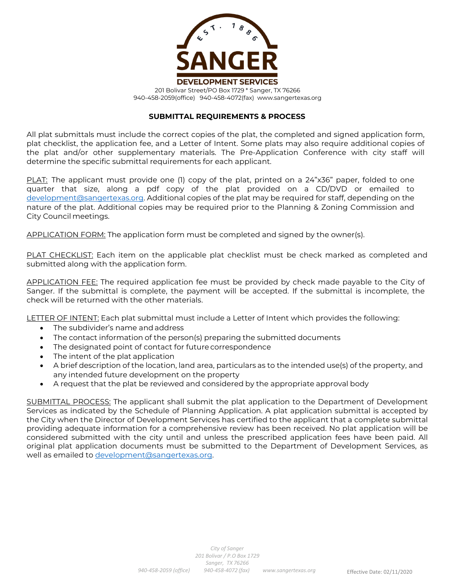

#### **SUBMITTAL REQUIREMENTS & PROCESS**

All plat submittals must include the correct copies of the plat, the completed and signed application form, plat checklist, the application fee, and a Letter of Intent. Some plats may also require additional copies of the plat and/or other supplementary materials. The Pre-Application Conference with city staff will determine the specific submittal requirements for each applicant.

PLAT: The applicant must provide one (1) copy of the plat, printed on a 24"x36" paper, folded to one quarter that size, along a pdf copy of the plat provided on a CD/DVD or emailed to [development@sangertexas.org.](mailto:development@sangertexas.org) Additional copies of the plat may be required for staff, depending on the nature of the plat. Additional copies may be required prior to the Planning & Zoning Commission and City Council meetings.

APPLICATION FORM: The application form must be completed and signed by the owner(s).

PLAT CHECKLIST: Each item on the applicable plat checklist must be check marked as completed and submitted along with the application form.

APPLICATION FEE: The required application fee must be provided by check made payable to the City of Sanger. If the submittal is complete, the payment will be accepted. If the submittal is incomplete, the check will be returned with the other materials.

LETTER OF INTENT: Each plat submittal must include a Letter of Intent which provides the following:

- The subdivider's name and address
- The contact information of the person(s) preparing the submitted documents
- The designated point of contact for future correspondence
- The intent of the plat application
- A brief description of the location, land area, particulars as to the intended use(s) of the property, and any intended future development on the property
- A request that the plat be reviewed and considered by the appropriate approval body

SUBMITTAL PROCESS: The applicant shall submit the plat application to the Department of Development Services as indicated by the Schedule of Planning Application. A plat application submittal is accepted by the City when the Director of Development Services has certified to the applicant that a complete submittal providing adequate information for a comprehensive review has been received. No plat application will be considered submitted with the city until and unless the prescribed application fees have been paid. All original plat application documents must be submitted to the Department of Development Services, as well as emailed to [development@sangertexas.org.](mailto:development@sangertexas.org)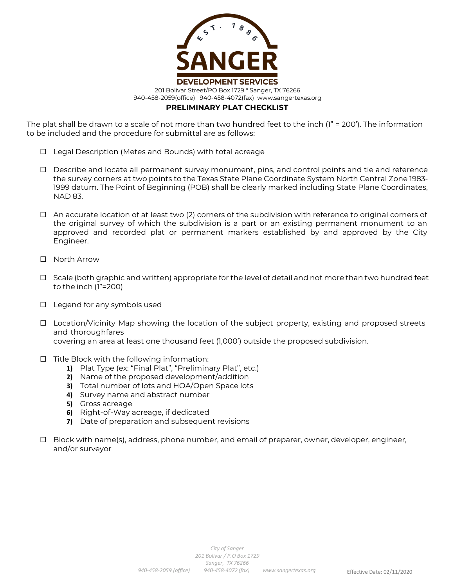

The plat shall be drawn to a scale of not more than two hundred feet to the inch (1" = 200'). The information to be included and the procedure for submittal are as follows:

- □ Legal Description (Metes and Bounds) with total acreage
- $\Box$  Describe and locate all permanent survey monument, pins, and control points and tie and reference the survey corners at two points to the Texas State Plane Coordinate System North Central Zone 1983- 1999 datum. The Point of Beginning (POB) shall be clearly marked including State Plane Coordinates, NAD 83.
- $\Box$  An accurate location of at least two (2) corners of the subdivision with reference to original corners of the original survey of which the subdivision is a part or an existing permanent monument to an approved and recorded plat or permanent markers established by and approved by the City Engineer.
- □ North Arrow
- $\Box$  Scale (both graphic and written) appropriate for the level of detail and not more than two hundred feet to the inch (1"=200)
- $\Box$  Legend for any symbols used
- $\Box$  Location/Vicinity Map showing the location of the subject property, existing and proposed streets and thoroughfares covering an area at least one thousand feet (1,000') outside the proposed subdivision.
- $\Box$  Title Block with the following information:
	- **1)** Plat Type (ex: "Final Plat", "Preliminary Plat", etc.)
	- **2)** Name of the proposed development/addition
	- **3)** Total number of lots and HOA/Open Space lots
	- **4)** Survey name and abstract number
	- **5)** Gross acreage
	- **6)** Right-of-Way acreage, if dedicated
	- **7)** Date of preparation and subsequent revisions
- □ Block with name(s), address, phone number, and email of preparer, owner, developer, engineer, and/or surveyor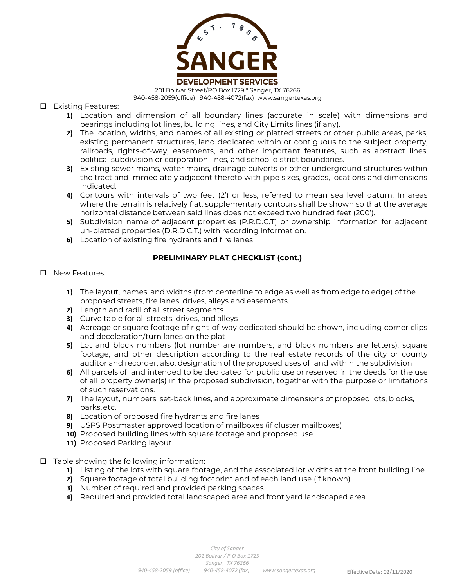

201 Bolivar Street/PO Box 1729 \* Sanger, TX 76266 940-458-2059(office) 940-458-4072(fax) www.sangertexas.org

Existing Features:

- **1)** Location and dimension of all boundary lines (accurate in scale) with dimensions and bearings including lot lines, building lines, and City Limits lines (if any).
- **2)** The location, widths, and names of all existing or platted streets or other public areas, parks, existing permanent structures, land dedicated within or contiguous to the subject property, railroads, rights-of-way, easements, and other important features, such as abstract lines, political subdivision or corporation lines, and school district boundaries.
- **3)** Existing sewer mains, water mains, drainage culverts or other underground structures within the tract and immediately adjacent thereto with pipe sizes, grades, locations and dimensions indicated.
- **4)** Contours with intervals of two feet (2') or less, referred to mean sea level datum. In areas where the terrain is relatively flat, supplementary contours shall be shown so that the average horizontal distance between said lines does not exceed two hundred feet (200').
- **5)** Subdivision name of adjacent properties (P.R.D.C.T) or ownership information for adjacent un-platted properties (D.R.D.C.T.) with recording information.
- **6)** Location of existing fire hydrants and fire lanes

## **PRELIMINARY PLAT CHECKLIST (cont.)**

- D New Features:
	- **1)** The layout, names, and widths (from centerline to edge as well as from edge to edge) of the proposed streets, fire lanes, drives, alleys and easements.
	- **2)** Length and radii of all street segments
	- **3)** Curve table for all streets, drives, and alleys
	- **4)** Acreage or square footage of right-of-way dedicated should be shown, including corner clips and deceleration/turn lanes on the plat
	- **5)** Lot and block numbers (lot number are numbers; and block numbers are letters), square footage, and other description according to the real estate records of the city or county auditor and recorder; also, designation of the proposed uses of land within the subdivision.
	- **6)** All parcels of land intended to be dedicated for public use or reserved in the deeds for the use of all property owner(s) in the proposed subdivision, together with the purpose or limitations of suchreservations.
	- **7)** The layout, numbers, set-back lines, and approximate dimensions of proposed lots, blocks, parks,etc.
	- **8)** Location of proposed fire hydrants and fire lanes
	- **9)** USPS Postmaster approved location of mailboxes (if cluster mailboxes)
	- **10)** Proposed building lines with square footage and proposed use
	- **11)** Proposed Parking layout
- $\Box$  Table showing the following information:
	- **1)** Listing of the lots with square footage, and the associated lot widths at the front building line
	- **2)** Square footage of total building footprint and of each land use (if known)
	- **3)** Number of required and provided parking spaces
	- **4)** Required and provided total landscaped area and front yard landscaped area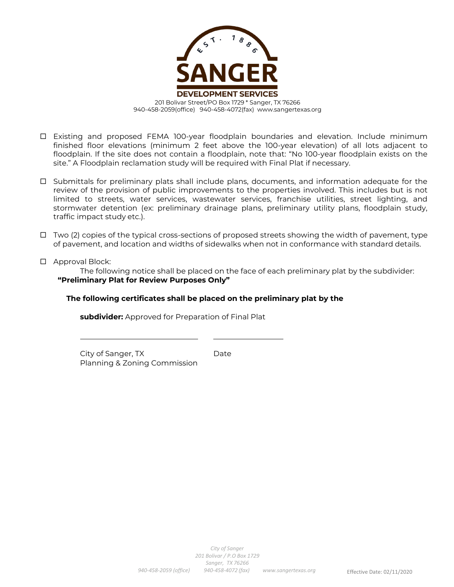

- Existing and proposed FEMA 100-year floodplain boundaries and elevation. Include minimum finished floor elevations (minimum 2 feet above the 100-year elevation) of all lots adjacent to floodplain. If the site does not contain a floodplain, note that: "No 100-year floodplain exists on the site." A Floodplain reclamation study will be required with Final Plat if necessary.
- $\Box$  Submittals for preliminary plats shall include plans, documents, and information adequate for the review of the provision of public improvements to the properties involved. This includes but is not limited to streets, water services, wastewater services, franchise utilities, street lighting, and stormwater detention (ex: preliminary drainage plans, preliminary utility plans, floodplain study, traffic impact study etc.).
- $\Box$  Two (2) copies of the typical cross-sections of proposed streets showing the width of pavement, type of pavement, and location and widths of sidewalks when not in conformance with standard details.
- □ Approval Block:

The following notice shall be placed on the face of each preliminary plat by the subdivider: **"Preliminary Plat for Review Purposes Only"**

#### **The following certificates shall be placed on the preliminary plat by the**

**subdivider:** Approved for Preparation of Final Plat

City of Sanger, TX Date Planning & Zoning Commission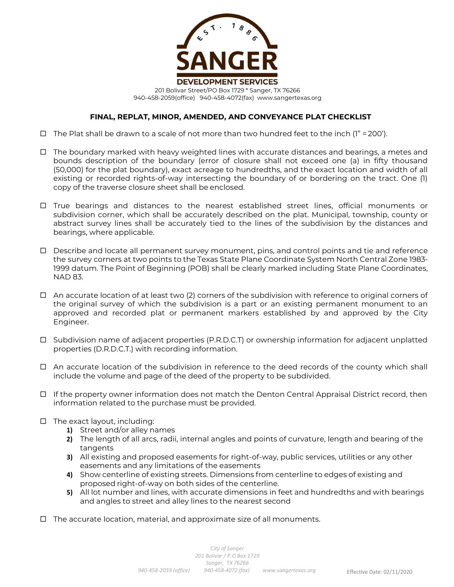

- $\Box$  The Plat shall be drawn to a scale of not more than two hundred feet to the inch (1" = 200').
- $\Box$  The boundary marked with heavy weighted lines with accurate distances and bearings, a metes and bounds description of the boundary (error of closure shall not exceed one (a) in fifty thousand (50,000) for the plat boundary), exact acreage to hundredths, and the exact location and width of all existing or recorded rights-of-way intersecting the boundary of or bordering on the tract. One (1) copy of the traverse closure sheet shall be enclosed.
- $\Box$  True bearings and distances to the nearest established street lines, official monuments or subdivision corner, which shall be accurately described on the plat. Municipal, township, county or abstract survey lines shall be accurately tied to the lines of the subdivision by the distances and bearings, where applicable.
- $\Box$  Describe and locate all permanent survey monument, pins, and control points and tie and reference the survey corners at two points to the Texas State Plane Coordinate System North Central Zone 1983- 1999 datum. The Point of Beginning (POB) shall be clearly marked including State Plane Coordinates, NAD 83.
- $\Box$  An accurate location of at least two (2) corners of the subdivision with reference to original corners of the original survey of which the subdivision is a part or an existing permanent monument to an approved and recorded plat or permanent markers established by and approved by the City Engineer.
- $\Box$  Subdivision name of adjacent properties (P.R.D.C.T) or ownership information for adjacent unplatted properties (D.R.D.C.T.) with recording information.
- $\Box$  An accurate location of the subdivision in reference to the deed records of the county which shall include the volume and page of the deed of the property to be subdivided.
- $\Box$  If the property owner information does not match the Denton Central Appraisal District record, then information related to the purchase must be provided.
- $\Box$  The exact layout, including:
	- **1)** Street and/or alley names
	- **2)** The length of all arcs, radii, internal angles and points of curvature, length and bearing of the tangents
	- **3)** All existing and proposed easements for right-of-way, public services, utilities or any other easements and any limitations of the easements
	- **4)** Show centerline of existing streets. Dimensions from centerline to edges of existing and proposed right-of-way on both sides of the centerline.
	- **5)** All lot number and lines, with accurate dimensions in feet and hundredths and with bearings and angles to street and alley lines to the nearest second
- $\Box$  The accurate location, material, and approximate size of all monuments.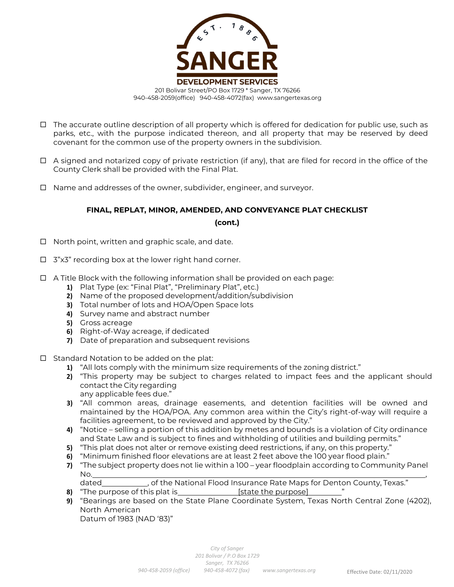

- $\Box$  The accurate outline description of all property which is offered for dedication for public use, such as parks, etc., with the purpose indicated thereon, and all property that may be reserved by deed covenant for the common use of the property owners in the subdivision.
- $\Box$  A signed and notarized copy of private restriction (if any), that are filed for record in the office of the County Clerk shall be provided with the Final Plat.
- □ Name and addresses of the owner, subdivider, engineer, and surveyor.

**(cont.)**

- $\Box$  North point, written and graphic scale, and date.
- $\Box$  3"x3" recording box at the lower right hand corner.
- $\Box$  A Title Block with the following information shall be provided on each page:
	- **1)** Plat Type (ex: "Final Plat", "Preliminary Plat", etc.)
	- **2)** Name of the proposed development/addition/subdivision
	- **3)** Total number of lots and HOA/Open Space lots
	- **4)** Survey name and abstract number
	- **5)** Gross acreage
	- **6)** Right-of-Way acreage, if dedicated
	- **7)** Date of preparation and subsequent revisions
- $\Box$  Standard Notation to be added on the plat:
	- **1)** "All lots comply with the minimum size requirements of the zoning district."
	- **2)** "This property may be subject to charges related to impact fees and the applicant should contact the City regarding any applicable fees due."
	- **3)** "All common areas, drainage easements, and detention facilities will be owned and maintained by the HOA/POA. Any common area within the City's right-of-way will require a facilities agreement, to be reviewed and approved by the City."
	- **4)** "Notice selling a portion of this addition by metes and bounds is a violation of City ordinance and State Law and is subject to fines and withholding of utilities and building permits."
	- **5)** "This plat does not alter or remove existing deed restrictions, if any, on this property."
	- **6)** "Minimum finished floor elevations are at least 2 feet above the 100 year flood plain."
	- **7)** "The subject property does not lie within a 100 year floodplain according to Community Panel No. ,
	- dated \_\_\_\_\_\_\_\_\_\_\_, of the National Flood Insurance Rate Maps for Denton County, Texas."
	- **8)** "The purpose of this plat is **Example 2** [state the purpose]
	- **9)** "Bearings are based on the State Plane Coordinate System, Texas North Central Zone (4202), North American Datum of 1983 (NAD '83)"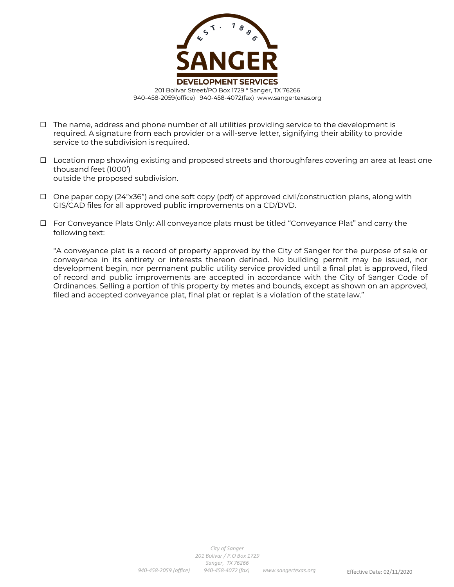

- $\Box$  The name, address and phone number of all utilities providing service to the development is required. A signature from each provider or a will-serve letter, signifying their ability to provide service to the subdivision is required.
- $\Box$  Location map showing existing and proposed streets and thoroughfares covering an area at least one thousand feet (1000') outside the proposed subdivision.
- $\Box$  One paper copy (24"x36") and one soft copy (pdf) of approved civil/construction plans, along with GIS/CAD files for all approved public improvements on a CD/DVD.
- For Conveyance Plats Only: All conveyance plats must be titled "Conveyance Plat" and carry the following text:

"A conveyance plat is a record of property approved by the City of Sanger for the purpose of sale or conveyance in its entirety or interests thereon defined. No building permit may be issued, nor development begin, nor permanent public utility service provided until a final plat is approved, filed of record and public improvements are accepted in accordance with the City of Sanger Code of Ordinances. Selling a portion of this property by metes and bounds, except as shown on an approved, filed and accepted conveyance plat, final plat or replat is a violation of the state law."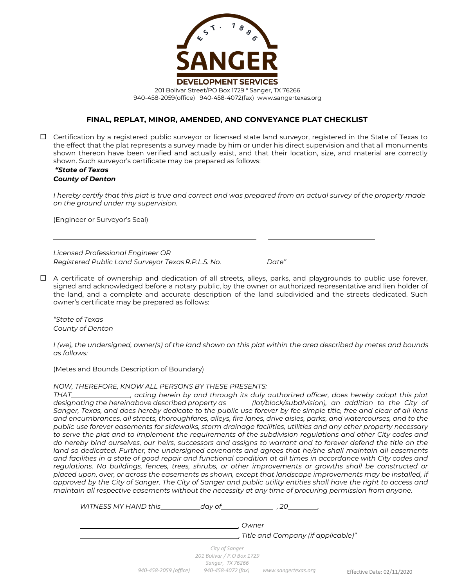

 $\Box$  Certification by a registered public surveyor or licensed state land surveyor, registered in the State of Texas to the effect that the plat represents a survey made by him or under his direct supervision and that all monuments shown thereon have been verified and actually exist, and that their location, size, and material are correctly shown. Such surveyor's certificate may be prepared as follows:

#### *"State of Texas County of Denton*

*I* hereby certify that this plat is true and correct and was prepared from an actual survey of the property made *on the ground under my supervision.*

(Engineer or Surveyor's Seal)

*Licensed Professional Engineer OR Registered Public Land Surveyor Texas R.P.L.S. No. Date"*

 A certificate of ownership and dedication of all streets, alleys, parks, and playgrounds to public use forever, signed and acknowledged before a notary public, by the owner or authorized representative and lien holder of the land, and a complete and accurate description of the land subdivided and the streets dedicated. Such owner's certificate may be prepared as follows:

*"State of Texas County of Denton*

*I* (we), the undersigned, owner(s) of the land shown on this plat within the area described by metes and bounds *as follows:*

(Metes and Bounds Description of Boundary)

#### *NOW, THEREFORE, KNOW ALL PERSONS BY THESE PRESENTS:*

*THAT , acting herein by and through its duly authorized officer, does hereby adopt this plat designating the hereinabove described property as (lot/block/subdivision), an addition to the City of Sanger, Texas, and does hereby dedicate to the public use forever by fee simple title, free and clear of all liens and encumbrances, all streets, thoroughfares, alleys, fire lanes, drive aisles, parks, and watercourses, and to the public use forever easements for sidewalks, storm drainage facilities, utilities and any other property necessary to serve the plat and to implement the requirements of the subdivision regulations and other City codes and do hereby bind ourselves, our heirs, successors and assigns to warrant and to forever defend the title on the land so dedicated. Further, the undersigned covenants and agrees that he/she shall maintain all easements and facilities in a state of good repair and functional condition at all times in accordance with City codes and regulations. No buildings, fences, trees, shrubs, or other improvements or growths shall be constructed or placed upon, over, or across the easements as shown, except that landscape improvements may be installed, if approved by the City of Sanger. The City of Sanger and public utility entities shall have the right to access and maintain all respective easements without the necessity at any time of procuring permission from anyone.*

*WITNESS MY HAND this day of \_, 20 .*

*, Owner*

*, Title and Company (if applicable)"*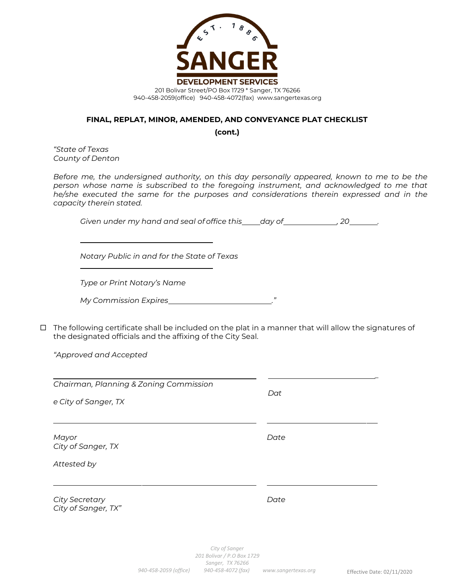

**(cont.)**

*"State of Texas County of Denton*

*Before me, the undersigned authority, on this day personally appeared, known to me to be the person whose name is subscribed to the foregoing instrument, and acknowledged to me that he/she executed the same for the purposes and considerations therein expressed and in the capacity therein stated.*

*Given under my hand and seal of office this day of , 20 .*

*Notary Public in and for the State of Texas*

*Type or Print Notary's Name*

| My Commission Expires |  |
|-----------------------|--|
|                       |  |

 $\Box$  The following certificate shall be included on the plat in a manner that will allow the signatures of the designated officials and the affixing of the City Seal.

*"Approved and Accepted*

| Chairman, Planning & Zoning Commission<br>e City of Sanger, TX | Dat  |
|----------------------------------------------------------------|------|
| Mayor<br>City of Sanger, TX<br>Attested by                     | Date |
| <b>City Secretary</b><br>City of Sanger, TX"                   | Date |